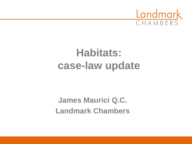

# **Habitats: case-law update**

**James Maurici Q.C. Landmark Chambers**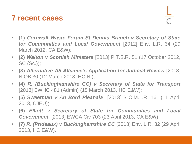#### **7 recent cases**

- **(1)** *Cornwall Waste Forum St Dennis Branch v Secretary of State for Communities and Local Government* [2012] Env. L.R. 34 (29 March 2012, CA E&W);
- **(2)** *Walton v Scottish Ministers* [2013] P.T.S.R. 51 (17 October 2012, SC (Sc.));
- **(3)** *Alternative A5 Alliance's Application for Judicial Review* [2013] NIQB 30 (12 March 2013, HC NI);
- **(4)** *R. (Buckinghamshire CC) v Secretary of State for Transport* [2013] EWHC 481 (Admin) (15 March 2013, HC E&W);
- **(5)** *Sweetman v An Bord Pleanala* [2013] 3 C.M.L.R. 16 (11 April 2013, CJEU);
- **(6)** *Elliott v Secretary of State for Communities and Local Government* [2013] EWCA Civ 703 (23 April 2013, CA E&W);
- **(7)** *R. (Prideaux) v Buckinghamshire CC* [2013] Env. L.R. 32 (29 April 2013, HC E&W).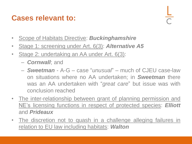#### **Cases relevant to:**

- Scope of Habitats Directive: *Buckinghamshire*
- Stage 1: screening under Art. 6(3): *Alternative A5*
- Stage 2: undertaking an AA under Art. 6(3):
	- *Cornwall*; and
	- *Sweetman* A-G case "*unusual*" much of CJEU case-law on situations where no AA undertaken; in *Sweetman* there was an AA undertaken with "*great care*" but issue was with conclusion reached
- The inter-relationship between grant of planning permission and NE's licensing functions in respect of protected species: *Elliott* and *Prideaux*
- The discretion not to quash in a challenge alleging failures in relation to EU law including habitats: *Walton*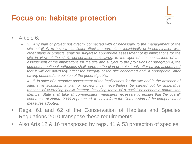#### **Focus on: habitats protection**

- Article 6:
	- *3. Any plan or project not directly connected with or necessary to the management of the site but likely to have a significant effect thereon, either individually or in combination with other plans or projects, shall be subject to appropriate assessment of its implications for the site in view of the site's conservation objectives. In the light of the conclusions of the assessment of the implications for the site and subject to the provisions of paragraph 4, the competent national authorities shall agree to the plan or project only after having ascertained that it will not adversely affect the integrity of the site concerned and, if appropriate, after having obtained the opinion of the general public.*
	- *4. If, in spite of a negative assessment of the implications for the site and in the absence of alternative solutions, a plan or project must nevertheless be carried out for imperative reasons of overriding public interest, including those of a social or economic nature, the Member State shall take all compensatory measures necessary to ensure that the overall coherence of Natura 2000 is protected. It shall inform the Commission of the compensatory measures adopted.*
- Regs. 61 and 62 of the Conservation of Habitats and Species Regulations 2010 transpose these requirements.
- Also Arts 12 & 16 transposed by regs. 41 & 53 protection of species.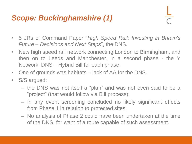#### *Scope: Buckinghamshire (1)*

- 5 JRs of Command Paper "*High Speed Rail: Investing in Britain's Future – Decisions and Next Steps*", the DNS.
- New high speed rail network connecting London to Birmingham, and then on to Leeds and Manchester, in a second phase - the Y Network. DNS – Hybrid Bill for each phase.
- One of grounds was habitats lack of AA for the DNS.
- S/S argued:
	- the DNS was not itself a "plan" and was not even said to be a "project" (that would follow via Bill process);
	- In any event screening concluded no likely significant effects from Phase 1 in relation to protected sites;
	- No analysis of Phase 2 could have been undertaken at the time of the DNS, for want of a route capable of such assessment.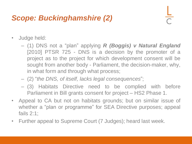#### *Scope: Buckinghamshire (2)*

- Judge held:
	- (1) DNS not a "plan" applying *R (Boggis) v Natural England* [2010] PTSR 725 - DNS is a decision by the promoter of a project as to the project for which development consent will be sought from another body - Parliament, the decision-maker, why, in what form and through what process;
	- (2) "*the DNS, of itself, lacks legal consequences*";
	- (3) Habitats Directive need to be complied with before Parliament in Bill grants consent for project – HS2 Phase 1.
- Appeal to CA but not on habitats grounds; but on similar issue of whether a "plan or programme" for SEA Directive purposes; appeal fails 2:1;
- Further appeal to Supreme Court (7 Judges); heard last week.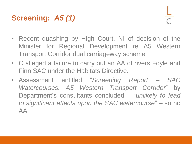# **Screening:** *A5 (1)*

- Recent quashing by High Court, NI of decision of the Minister for Regional Development re A5 Western Transport Corridor dual carriageway scheme
- C alleged a failure to carry out an AA of rivers Foyle and Finn SAC under the Habitats Directive.
- Assessment entitled "*Screening Report – SAC Watercourses. A5 Western Transport Corridor*" by Department's consultants concluded – "*unlikely to lead to significant effects upon the SAC watercourse*" – so no AA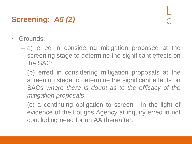# **Screening:** *A5 (2)*

- Grounds:
	- a) erred in considering mitigation proposed at the screening stage to determine the significant effects on the SAC;
	- (b) erred in considering mitigation proposals at the screening stage to determine the significant effects on SACs *where there is doubt as to the efficacy of the mitigation proposals*.
	- (c) a continuing obligation to screen in the light of evidence of the Loughs Agency at inquiry erred in not concluding need for an AA thereafter.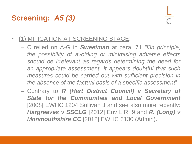# **Screening:** *A5 (3)*

- (1) MITIGATION AT SCREENING STAGE:
	- C relied on A-G in *Sweetman* at para. 71 *"[i]n principle, the possibility of avoiding or minimising adverse effects should be irrelevant as regards determining the need for an appropriate assessment. It appears doubtful that such measures could be carried out with sufficient precision in the absence of the factual basis of a specific assessment*"
	- Contrary to *R (Hart District Council) v Secretary of State for the Communities and Local Government* [2008] EWHC 1204 Sullivan J and see also more recently: *Hargreaves v SSCLG* [2012] Env L.R. 9 and *R. (Long) v Monmouthshire CC* [2012] EWHC 3130 (Admin).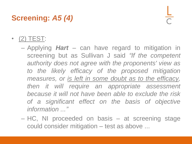# **Screening:** *A5 (4)*

- (2) TEST:
	- Applying *Hart* can have regard to mitigation in screening but as Sullivan J said *"If the competent authority does not agree with the proponents' view as to the likely efficacy of the proposed mitigation measures, or is left in some doubt as to the efficacy, then it will require an appropriate assessment because it will not have been able to exclude the risk of a significant effect on the basis of objective information ..."*
	- HC, NI proceeded on basis at screening stage could consider mitigation – test as above ...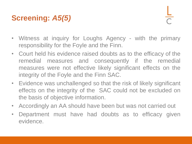# **Screening:** *A5(5)*

- Witness at inquiry for Loughs Agency with the primary responsibility for the Foyle and the Finn.
- Court held his evidence raised doubts as to the efficacy of the remedial measures and consequently if the remedial measures were not effective likely significant effects on the integrity of the Foyle and the Finn SAC.
- Evidence was unchallenged so that the risk of likely significant effects on the integrity of the SAC could not be excluded on the basis of objective information.
- Accordingly an AA should have been but was not carried out
- Department must have had doubts as to efficacy given evidence.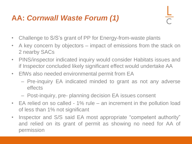### **AA:** *Cornwall Waste Forum (1)*

- Challenge to S/S's grant of PP for Energy-from-waste plants
- A key concern by objectors impact of emissions from the stack on 2 nearby SACs
- PINS/inspector indicated inquiry would consider Habitats issues and if Inspector concluded likely significant effect would undertake AA
- EfWs also needed environmental permit from EA
	- Pre-inquiry EA indicated minded to grant as not any adverse effects
	- Post-inquiry, pre- planning decision EA issues consent
- EA relied on so called 1% rule an increment in the pollution load of less than 1% not significant
- Inspector and S/S said EA most appropriate "competent authority" and relied on its grant of permit as showing no need for AA of permission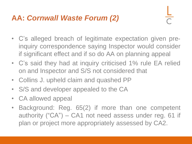#### **AA:** *Cornwall Waste Forum (2)*

- C's alleged breach of legitimate expectation given preinquiry correspondence saying Inspector would consider if significant effect and if so do AA on planning appeal
- C's said they had at inquiry criticised 1% rule EA relied on and Inspector and S/S not considered that
- Collins J. upheld claim and quashed PP
- S/S and developer appealed to the CA
- CA allowed appeal
- Background: Reg. 65(2) if more than one competent authority ("CA") – CA1 not need assess under reg. 61 if plan or project more appropriately assessed by CA2.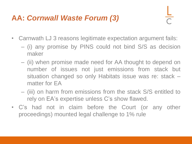#### **AA:** *Cornwall Waste Forum (3)*

- Carnwath LJ 3 reasons legitimate expectation argument fails:
	- (i) any promise by PINS could not bind S/S as decision maker
	- (ii) when promise made need for AA thought to depend on number of issues not just emissions from stack but situation changed so only Habitats issue was re: stack – matter for EA
	- (iii) on harm from emissions from the stack S/S entitled to rely on EA's expertise unless C's show flawed.
- C's had not in claim before the Court (or any other proceedings) mounted legal challenge to 1% rule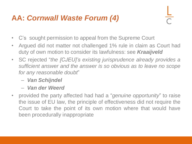#### **AA:** *Cornwall Waste Forum (4)*

- C's sought permission to appeal from the Supreme Court
- Argued did not matter not challenged 1% rule in claim as Court had duty of own motion to consider its lawfulness: see *Kraaijveld*
- SC rejected "*the [CJEU]'s existing jurisprudence already provides a sufficient answer and the answer is so obvious as to leave no scope for any reasonable doubt*"
	- *Van Schijndel*
	- *Van der Weerd*
- provided the party affected had had a "*genuine opportunity*" to raise the issue of EU law, the principle of effectiveness did not require the Court to take the point of its own motion where that would have been procedurally inappropriate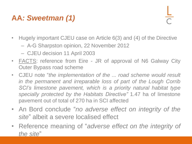# **AA***: Sweetman (1)*

- Hugely important CJEU case on Article 6(3) and (4) of the Directive
	- A-G Sharpston opinion, 22 November 2012
	- CJEU decision 11 April 2003
- FACTS: reference from Eire JR of approval of N6 Galway City Outer Bypass road scheme
- CJEU note "*the implementation of the ... road scheme would result in the permanent and irreparable loss of part of the Lough Corrib SCI's limestone pavement, which is a priority natural habitat type specially protected by the Habitats Directive"* 1.47 ha of limestone pavement out of total of 270 ha in SCI affected
- An Bord conclude "*no adverse effect on integrity of the site*" albeit a severe localised effect
- Reference meaning of "*adverse effect on the integrity of the site*"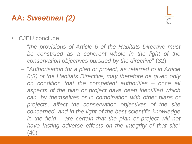## **AA***: Sweetman (2)*

- CJEU conclude:
	- "*the provisions of Article 6 of the Habitats Directive must be construed as a coherent whole in the light of the conservation objectives pursued by the directive*" (32)
	- "*Authorisation for a plan or project, as referred to in Article 6(3) of the Habitats Directive, may therefore be given only on condition that the competent authorities – once all aspects of the plan or project have been identified which can, by themselves or in combination with other plans or projects, affect the conservation objectives of the site concerned, and in the light of the best scientific knowledge in the field – are certain that the plan or project will not have lasting adverse effects on the integrity of that site*" (40)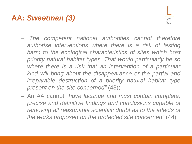#### **AA***: Sweetman (3)*

- *"The competent national authorities cannot therefore authorise interventions where there is a risk of lasting harm to the ecological characteristics of sites which host priority natural habitat types. That would particularly be so where there is a risk that an intervention of a particular kind will bring about the disappearance or the partial and irreparable destruction of a priority natural habitat type present on the site concerned"* (43);
- An AA cannot "*have lacunae and must contain complete, precise and definitive findings and conclusions capable of removing all reasonable scientific doubt as to the effects of the works proposed on the protected site concerned*" (44)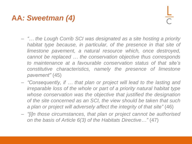### **AA***: Sweetman (4)*

- *"… the Lough Corrib SCI was designated as a site hosting a priority habitat type because, in particular, of the presence in that site of limestone pavement, a natural resource which, once destroyed, cannot be replaced … the conservation objective thus corresponds to maintenance at a favourable conservation status of that site's constitutive characteristics, namely the presence of limestone pavement"* (45)
- *"Consequently, if … that plan or project will lead to the lasting and irreparable loss of the whole or part of a priority natural habitat type whose conservation was the objective that justified the designation of the site concerned as an SCI, the view should be taken that such a plan or project will adversely affect the integrity of that site"* (46)
- *"[i]n those circumstances, that plan or project cannot be authorised on the basis of Article 6(3) of the Habitats Directive…"* (47)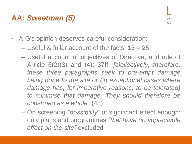### **AA***: Sweetman (5)*

- A-G's opinion deserves careful consideration:
	- Useful & fuller account of the facts: 13 25;
	- Useful account of objectives of Directive; and role of Article 6(2)(3) and (4): 37ff "*[c]ollectively, therefore, these three paragraphs seek to pre-empt damage being done to the site or (in exceptional cases where damage has, for imperative reasons, to be tolerated) to minimise that damage. They should therefore be construed as a whole*" (43);
	- On screening *"possibility"* of significant effect enough; only plans and programmes *"that have no appreciable effect on the site"* excluded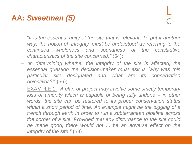#### **AA***: Sweetman (5)*

- "*It is the essential unity of the site that is relevant. To put it another way, the notion of 'integrity' must be understood as referring to the continued wholeness and soundness of the constitutive characteristics of the site concerned."* (54);
- *"in determining whether the integrity of the site is affected, the essential question the decision-maker must ask is 'why was this particular site designated and what are its conservation objectives?'"* (56);
- EXAMPLE 1: *"A plan or project may involve some strictly temporary loss of amenity which is capable of being fully undone – in other words, the site can be restored to its proper conservation status within a short period of time. An example might be the digging of a trench through earth in order to run a subterranean pipeline across the corner of a site. Provided that any disturbance to the site could be made good, there would not ... be an adverse effect on the integrity of the site."* (59)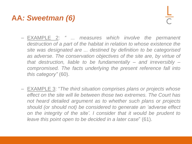### **AA***: Sweetman (6)*

- EXAMPLE 2: *" ... measures which involve the permanent destruction of a part of the habitat in relation to whose existence the site was designated are ... destined by definition to be categorised as adverse. The conservation objectives of the site are, by virtue of that destruction, liable to be fundamentally – and irreversibly – compromised. The facts underlying the present reference fall into this category"* (60).
- EXAMPLE 3: "*The third situation comprises plans or projects whose effect on the site will lie between those two extremes. The Court has not heard detailed argument as to whether such plans or projects should (or should not) be considered to generate an 'adverse effect on the integrity of the site'. I consider that it would be prudent to leave this point open to be decided in a later case*" (61).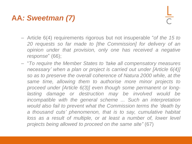### **AA***: Sweetman (7)*

- Article 6(4) requirements rigorous but not insuperable "*of the 15 to 20 requests so far made to [the Commission] for delivery of an opinion under that provision, only one has received a negative response*" (66);
- "*To require the Member States to 'take all compensatory measures necessary' when a plan or project is carried out under [Article 6(4)] so as to preserve the overall coherence of Natura 2000 while, at the same time, allowing them to authorise more minor projects to proceed under [Article 6(3)] even though some permanent or longlasting damage or destruction may be involved would be incompatible with the general scheme ... Such an interpretation would also fail to prevent what the Commission terms the 'death by a thousand cuts' phenomenon, that is to say, cumulative habitat loss as a result of multiple, or at least a number of, lower level projects being allowed to proceed on the same site"* (67)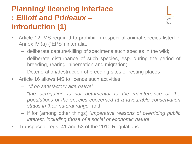## **Planning/ licencing interface :** *Elliott* **and** *Prideaux –* **introduction (1)**

- Article 12: MS required to prohibit in respect of animal species listed in Annex IV (a) ("EPS") inter alia:
	- deliberate capture/killing of specimens such species in the wild;
	- deliberate disturbance of such species, esp. during the period of breeding, rearing, hibernation and migration;
	- Deterioration/destruction of breeding sites or resting places
- Article 16 allows MS to licence such activities
	- "*if no satisfactory alternative*";
	- "*the derogation is not detrimental to the maintenance of the populations of the species concerned at a favourable conservation status in their natural range*" and,
	- if for (among other things) "*imperative reasons of overriding public interest, including those of a social or economic nature*"
- Transposed: regs. 41 and 53 of the 2010 Regulations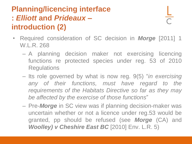# **Planning/licencing interface :** *Elliott* **and** *Prideaux –* **introduction (2)**

- Required consideration of SC decision in *Morge* [2011] 1 W.L.R. 268
	- A planning decision maker not exercising licencing functions re protected species under reg. 53 of 2010 **Regulations**
	- Its role governed by what is now reg. 9(5) "*in exercising any of their functions, must have regard to the requirements of the Habitats Directive so far as they may be affected by the exercise of those functions*"
	- Pre-*Morge* in SC view was if planning decision-maker was uncertain whether or not a licence under reg.53 would be granted, pp should be refused (see *Morge* (CA) and *Woolley) v Cheshire East BC* [2010] Env. L.R. 5)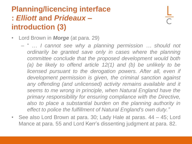### **Planning/licencing interface :** *Elliott* **and** *Prideaux –* **introduction (3)**

- Lord Brown in *Morge* (at para. 29)
	- " … *I cannot see why a planning permission … should not ordinarily be granted save only in cases where the planning committee conclude that the proposed development would both (a) be likely to offend article 12(1) and (b) be unlikely to be licensed pursuant to the derogation powers. After all, even if development permission is given, the criminal sanction against any offending (and unlicensed) activity remains available and it seems to me wrong in principle, when Natural England have the primary responsibility for ensuring compliance with the Directive, also to place a substantial burden on the planning authority in effect to police the fulfillment of Natural England's own duty."*
- See also Lord Brown at para. 30; Lady Hale at paras. 44 45; Lord Mance at para. 55 and Lord Kerr's dissenting judgment at para. 82.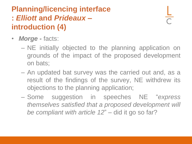# **Planning/licencing interface :** *Elliott* **and** *Prideaux –* **introduction (4)**

- *Morge -* facts:
	- NE initially objected to the planning application on grounds of the impact of the proposed development on bats;
	- An updated bat survey was the carried out and, as a result of the findings of the survey, NE withdrew its objections to the planning application;
	- Some suggestion in speeches NE "*express themselves satisfied that a proposed development will be compliant with article 12*" – did it go so far?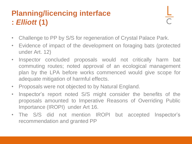# **Planning/licencing interface :** *Elliott* **(1)**

- Challenge to PP by S/S for regeneration of Crystal Palace Park.
- Evidence of impact of the development on foraging bats (protected under Art. 12)
- Inspector concluded proposals would not critically harm bat commuting routes; noted approval of an ecological management plan by the LPA before works commenced would give scope for adequate mitigation of harmful effects.
- Proposals were not objected to by Natural England.
- Inspector's report noted S/S might consider the benefits of the proposals amounted to Imperative Reasons of Overriding Public Importance (IROPI) under Art 16.
- The S/S did not mention IROPI but accepted Inspector's recommendation and granted PP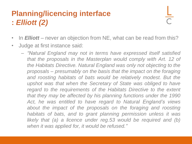#### **Planning/licencing interface :** *Elliott (2)*

- In *Elliott* never an objection from NE, what can be read from this?
- Judge at first instance said:
	- *"Natural England may not in terms have expressed itself satisfied that the proposals in the Masterplan would comply with Art. 12 of the Habitats Directive. Natural England was only not objecting to the proposals – presumably on the basis that the impact on the foraging and roosting habitats of bats would be relatively modest. But the upshot was that when the Secretary of State was obliged to have regard to the requirements of the Habitats Directive to the extent that they may be affected by his planning functions under the 1990 Act, he was entitled to have regard to Natural England's views about the impact of the proposals on the foraging and roosting habitats of bats, and to grant planning permission unless it was likely that (a) a licence under reg.53 would be required and (b) when it was applied for, it would be refused."*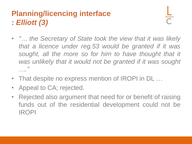### **Planning/licencing interface :** *Elliott (3)*

- *"… the Secretary of State took the view that it was likely that a licence under reg.53 would be granted if it was sought, all the more so for him to have thought that it was unlikely that it would not be granted if it was sought …."*
- That despite no express mention of IROPI in DL ...
- Appeal to CA; rejected.
- Rejected also argument that need for or benefit of raising funds out of the residential development could not be IROPI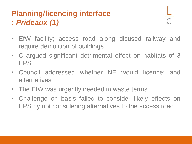# **Planning/licencing interface :** *Prideaux (1)*

- EfW facility; access road along disused railway and require demolition of buildings
- C argued significant detrimental effect on habitats of 3 EPS
- Council addressed whether NE would licence; and alternatives
- The EfW was urgently needed in waste terms
- Challenge on basis failed to consider likely effects on EPS by not considering alternatives to the access road.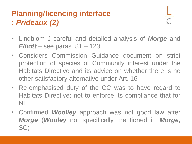#### **Planning/licencing interface :** *Prideaux (2)*

- Lindblom J careful and detailed analysis of *Morge* and *Elliott* – see paras. 81 – 123
- Considers Commission Guidance document on strict protection of species of Community interest under the Habitats Directive and its advice on whether there is no other satisfactory alternative under Art. 16
- Re-emphasised duty of the CC was to have regard to Habitats Directive; not to enforce its compliance that for **NE**
- Confirmed *Woolley* approach was not good law after *Morge* (*Wooley* not specifically mentioned in *Morge,* SC)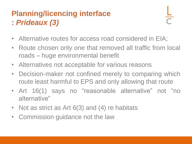#### **Planning/licencing interface :** *Prideaux (3)*

- Alternative routes for access road considered in EIA;
- Route chosen only one that removed all traffic from local roads – huge environmental benefit
- Alternatives not acceptable for various reasons
- Decision-maker not confined merely to comparing which route least harmful to EPS and only allowing that route
- Art 16(1) says no "reasonable alternative" not "no alternative"
- Not as strict as Art 6(3) and (4) re habitats
- Commission guidance not the law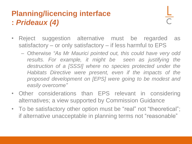#### **Planning/licencing interface :** *Prideaux (4)*

- Reject suggestion alternative must be regarded as satisfactory – or only satisfactory – if less harmful to EPS
	- Otherwise *"As Mr Maurici pointed out, this could have very odd results. For example, it might be seen as justifying the destruction of a [SSSI] where no species protected under the Habitats Directive were present, even if the impacts of the proposed development on [EPS] were going to be modest and easily overcome"*
- Other considerations than EPS relevant in considering alternatives; a view supported by Commission Guidance
- To be satisfactory other option must be "real" not "theoretical"; if alternative unacceptable in planning terms not "reasonable"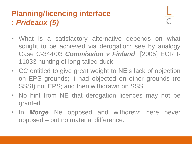# **Planning/licencing interface :** *Prideaux (5)*

- What is a satisfactory alternative depends on what sought to be achieved via derogation; see by analogy Case C-344/03 *Commission v Finland* [2005] ECR I-11033 hunting of long-tailed duck
- CC entitled to give great weight to NE's lack of objection on EPS grounds; it had objected on other grounds (re SSSI) not EPS; and then withdrawn on SSSI
- No hint from NE that derogation licences may not be granted
- In *Morge* Ne opposed and withdrew; here never opposed – but no material difference.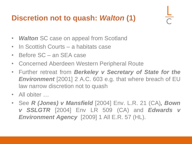#### **Discretion not to quash:** *Walton* **(1)**

- *Walton* SC case on appeal from Scotland
- In Scottish Courts a habitats case
- Before SC an SEA case
- Concerned Aberdeen Western Peripheral Route
- Further retreat from *Berkeley v Secretary of State for the Environment* [2001] 2 A.C. 603 e.g. that where breach of EU law narrow discretion not to quash
- All obiter ...
- See *R (Jones) v Mansfield* [2004] Env. L.R. 21 (CA)*, Bown v SSLGTR* [2004] Env LR 509 (CA) and *Edwards v Environment Agency* [2009] 1 All E.R. 57 (HL).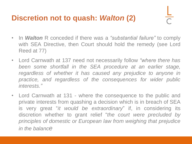#### **Discretion not to quash:** *Walton* **(2)**

- In *Walton* R conceded if there was a *"substantial failure"* to comply with SEA Directive, then Court should hold the remedy (see Lord Reed at 77)
- Lord Carnwath at 137 need not necessarily follow *"where there has been some shortfall in the SEA procedure at an earlier stage, regardless of whether it has caused any prejudice to anyone in practice, and regardless of the consequences for wider public interests."*
- Lord Carnwath at 131 where the consequence to the public and private interests from quashing a decision which is in breach of SEA is very great "*it would be extraordinary*" if, in considering its discretion whether to grant relief "*the court were precluded by principles of domestic or European law from weighing that prejudice in the balance*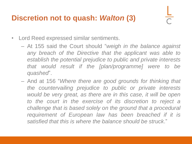#### **Discretion not to quash:** *Walton* **(3)**

- Lord Reed expressed similar sentiments.
	- At 155 said the Court should "*weigh in the balance against any breach of the Directive that the applicant was able to establish the potential prejudice to public and private interests that would result if the [plan/programme] were to be quashed*".
	- And at 156 "*Where there are good grounds for thinking that the countervailing prejudice to public or private interests would be very great, as there are in this case, it will be open to the court in the exercise of its discretion to reject a challenge that is based solely on the ground that a procedural requirement of European law has been breached if it is satisfied that this is where the balance should be struck*."